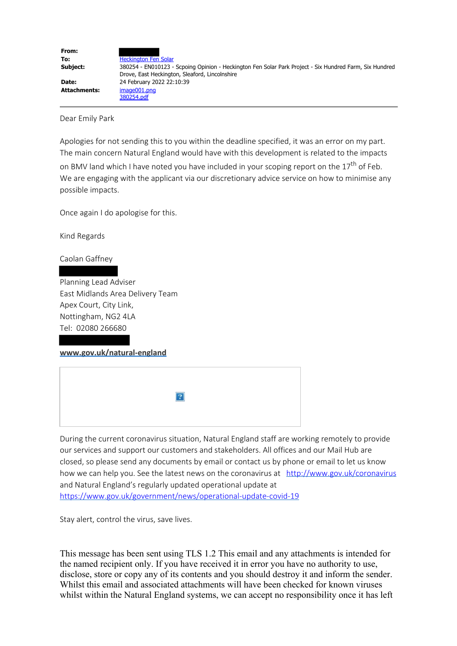| From:               |                                                                                                                                                           |
|---------------------|-----------------------------------------------------------------------------------------------------------------------------------------------------------|
| To:                 | <b>Heckington Fen Solar</b>                                                                                                                               |
| Subject:            | 380254 - EN010123 - Scpoing Opinion - Heckington Fen Solar Park Project - Six Hundred Farm, Six Hundred<br>Drove, East Heckington, Sleaford, Lincolnshire |
| Date:               | 24 February 2022 22:10:39                                                                                                                                 |
| <b>Attachments:</b> | image001.png                                                                                                                                              |
|                     | 380254.pdf                                                                                                                                                |

Dear Emily Park

Apologies for not sending this to you within the deadline specified, it was an error on my part. The main concern Natural England would have with this development is related to the impacts on BMV land which I have noted you have included in your scoping report on the  $17<sup>th</sup>$  of Feb. We are engaging with the applicant via our discretionary advice service on how to minimise any possible impacts.

Once again I do apologise for this.

Kind Regards

Caolan Gaffney

Planning Lead Adviser East Midlands Area Delivery Team Apex Court, City Link, Nottingham, NG2 4LA Tel: 02080 266680

**[www.gov.uk/natural-england](https://gbr01.safelinks.protection.outlook.com/?url=http%3A%2F%2Fwww.gov.uk%2Fnatural-england&data=04%7C01%7CHeckingtonFenSolar%40planninginspectorate.gov.uk%7Cd90c1356c53e42c7cd5c08d9f7e250f9%7C5878df986f8848ab9322998ce557088d%7C0%7C0%7C637813374383663527%7CUnknown%7CTWFpbGZsb3d8eyJWIjoiMC4wLjAwMDAiLCJQIjoiV2luMzIiLCJBTiI6Ik1haWwiLCJXVCI6Mn0%3D%7C3000&sdata=iZtqiRm9qyiJa%2BeXufY4yIyHaSkf2gEkmfwZGNo9BmM%3D&reserved=0)**

| $\boxed{?}$ |
|-------------|
|-------------|

During the current coronavirus situation, Natural England staff are working remotely to provide our services and support our customers and stakeholders. All offices and our Mail Hub are closed, so please send any documents by email or contact us by phone or email to let us know how we can help you. See the latest news on the coronavirus at [http://www.gov.uk/coronavirus](https://gbr01.safelinks.protection.outlook.com/?url=http%3A%2F%2Fwww.gov.uk%2Fcoronavirus&data=04%7C01%7CHeckingtonFenSolar%40planninginspectorate.gov.uk%7Cd90c1356c53e42c7cd5c08d9f7e250f9%7C5878df986f8848ab9322998ce557088d%7C0%7C0%7C637813374383663527%7CUnknown%7CTWFpbGZsb3d8eyJWIjoiMC4wLjAwMDAiLCJQIjoiV2luMzIiLCJBTiI6Ik1haWwiLCJXVCI6Mn0%3D%7C3000&sdata=UXm0C0gLwSubDxI6OjzQapaKj7EHQIwCeX9x8Tjopz8%3D&reserved=0) and Natural England's regularly updated operational update at [https://www.gov.uk/government/news/operational-update-covid-19](https://gbr01.safelinks.protection.outlook.com/?url=https%3A%2F%2Fwww.gov.uk%2Fgovernment%2Fnews%2Foperational-update-covid-19&data=04%7C01%7CHeckingtonFenSolar%40planninginspectorate.gov.uk%7Cd90c1356c53e42c7cd5c08d9f7e250f9%7C5878df986f8848ab9322998ce557088d%7C0%7C0%7C637813374383663527%7CUnknown%7CTWFpbGZsb3d8eyJWIjoiMC4wLjAwMDAiLCJQIjoiV2luMzIiLCJBTiI6Ik1haWwiLCJXVCI6Mn0%3D%7C3000&sdata=BxTxepmG5piSV7S92hODaiDWs1%2FmgvfKG6HrMsyfr7Q%3D&reserved=0)

Stay alert, control the virus, save lives.

This message has been sent using TLS 1.2 This email and any attachments is intended for the named recipient only. If you have received it in error you have no authority to use, disclose, store or copy any of its contents and you should destroy it and inform the sender. Whilst this email and associated attachments will have been checked for known viruses whilst within the Natural England systems, we can accept no responsibility once it has left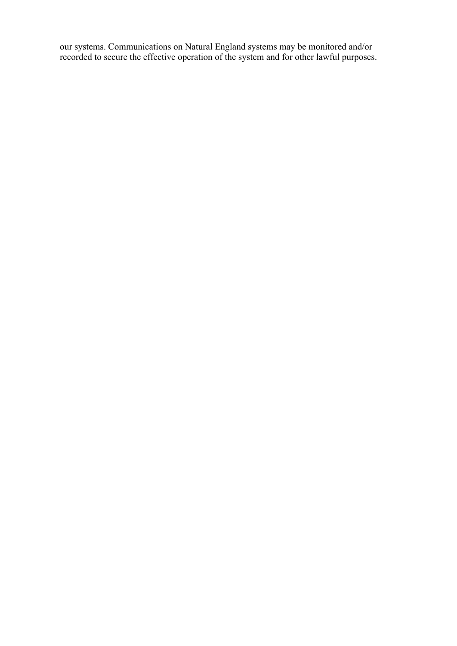our systems. Communications on Natural England systems may be monitored and/or recorded to secure the effective operation of the system and for other lawful purposes.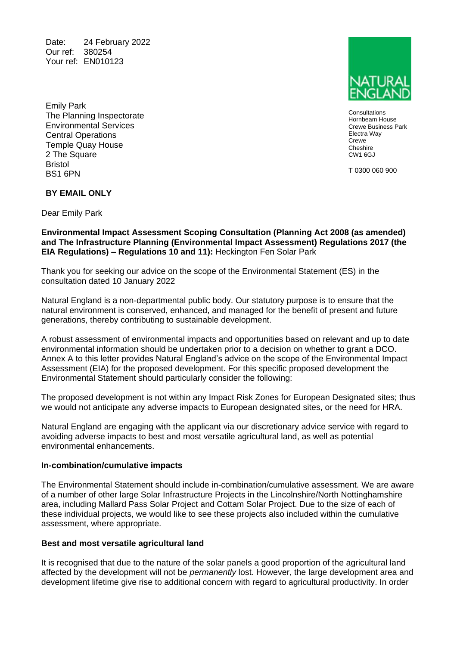Date: 24 February 2022 Our ref: 380254 Your ref: EN010123

Emily Park The Planning Inspectorate Environmental Services Central Operations Temple Quay House 2 The Square Bristol BS1 6PN

**Consultations** Hornbeam House Crewe Business Park Electra Way Crewe **Cheshire** CW1 6GJ

T 0300 060 900

### **BY EMAIL ONLY**

Dear Emily Park

### **Environmental Impact Assessment Scoping Consultation (Planning Act 2008 (as amended) and The Infrastructure Planning (Environmental Impact Assessment) Regulations 2017 (the EIA Regulations) – Regulations 10 and 11):** Heckington Fen Solar Park

Thank you for seeking our advice on the scope of the Environmental Statement (ES) in the consultation dated 10 January 2022

Natural England is a non-departmental public body. Our statutory purpose is to ensure that the natural environment is conserved, enhanced, and managed for the benefit of present and future generations, thereby contributing to sustainable development.

A robust assessment of environmental impacts and opportunities based on relevant and up to date environmental information should be undertaken prior to a decision on whether to grant a DCO. Annex A to this letter provides Natural England's advice on the scope of the Environmental Impact Assessment (EIA) for the proposed development. For this specific proposed development the Environmental Statement should particularly consider the following:

The proposed development is not within any Impact Risk Zones for European Designated sites; thus we would not anticipate any adverse impacts to European designated sites, or the need for HRA.

Natural England are engaging with the applicant via our discretionary advice service with regard to avoiding adverse impacts to best and most versatile agricultural land, as well as potential environmental enhancements.

#### **In-combination/cumulative impacts**

The Environmental Statement should include in-combination/cumulative assessment. We are aware of a number of other large Solar Infrastructure Projects in the Lincolnshire/North Nottinghamshire area, including Mallard Pass Solar Project and Cottam Solar Project. Due to the size of each of these individual projects, we would like to see these projects also included within the cumulative assessment, where appropriate.

#### **Best and most versatile agricultural land**

It is recognised that due to the nature of the solar panels a good proportion of the agricultural land affected by the development will not be *permanently* lost. However, the large development area and development lifetime give rise to additional concern with regard to agricultural productivity. In order

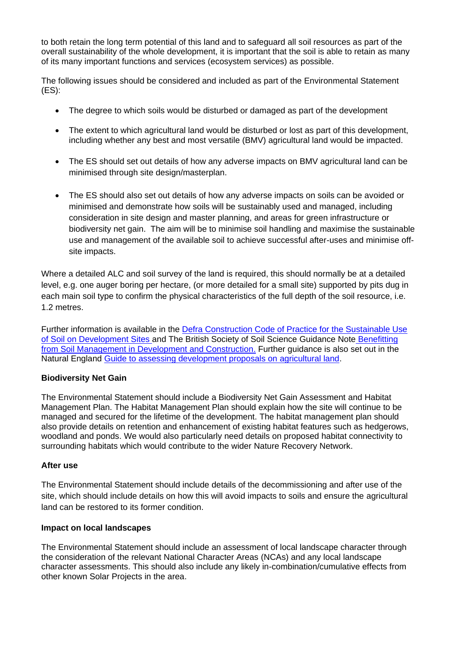to both retain the long term potential of this land and to safeguard all soil resources as part of the overall sustainability of the whole development, it is important that the soil is able to retain as many of its many important functions and services (ecosystem services) as possible.

The following issues should be considered and included as part of the Environmental Statement (ES):

- The degree to which soils would be disturbed or damaged as part of the development
- The extent to which agricultural land would be disturbed or lost as part of this development, including whether any best and most versatile (BMV) agricultural land would be impacted.
- The ES should set out details of how any adverse impacts on BMV agricultural land can be minimised through site design/masterplan.
- The ES should also set out details of how any adverse impacts on soils can be avoided or minimised and demonstrate how soils will be sustainably used and managed, including consideration in site design and master planning, and areas for green infrastructure or biodiversity net gain. The aim will be to minimise soil handling and maximise the sustainable use and management of the available soil to achieve successful after-uses and minimise offsite impacts.

Where a detailed ALC and soil survey of the land is required, this should normally be at a detailed level, e.g. one auger boring per hectare, (or more detailed for a small site) supported by pits dug in each main soil type to confirm the physical characteristics of the full depth of the soil resource, i.e. 1.2 metres.

Further information is available in the [Defra Construction Code of Practice for the Sustainable Use](http://www.defra.gov.uk/publications/2011/03/27/construction-cop-soil-pb13298)  [of Soil on Development Sites](http://www.defra.gov.uk/publications/2011/03/27/construction-cop-soil-pb13298) and The British Society of Soil Science Guidance Note Benefitting [from Soil Management in Development and Construction.](https://soils.org.uk/wp-content/uploads/2021/03/WWS3-Benefitting-from-Soil-Management-in-Development-and-Construction.pdf) Further guidance is also set out in the Natural England [Guide to assessing development proposals on](https://www.gov.uk/government/publications/agricultural-land-assess-proposals-for-development/guide-to-assessing-development-proposals-on-agricultural-land#surveys-to-support-your-decision) agricultural land.

## **Biodiversity Net Gain**

The Environmental Statement should include a Biodiversity Net Gain Assessment and Habitat Management Plan. The Habitat Management Plan should explain how the site will continue to be managed and secured for the lifetime of the development. The habitat management plan should also provide details on retention and enhancement of existing habitat features such as hedgerows, woodland and ponds. We would also particularly need details on proposed habitat connectivity to surrounding habitats which would contribute to the wider Nature Recovery Network.

## **After use**

The Environmental Statement should include details of the decommissioning and after use of the site, which should include details on how this will avoid impacts to soils and ensure the agricultural land can be restored to its former condition.

## **Impact on local landscapes**

The Environmental Statement should include an assessment of local landscape character through the consideration of the relevant National Character Areas (NCAs) and any local landscape character assessments. This should also include any likely in-combination/cumulative effects from other known Solar Projects in the area.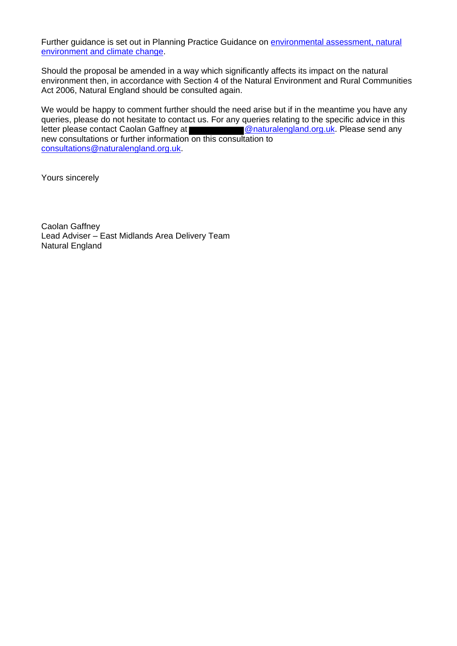Further guidance is set out in Planning Practice Guidance on **environmental assessment**, natural [environment](https://www.gov.uk/guidance/natural-environment) and [climate change.](https://www.gov.uk/guidance/climate-change)

Should the proposal be amended in a way which significantly affects its impact on the natural environment then, in accordance with Section 4 of the Natural Environment and Rural Communities Act 2006, Natural England should be consulted again.

We would be happy to comment further should the need arise but if in the meantime you have any queries, please do not hesitate to contact us. For any queries relating to the specific advice in this letter please contact Caolan Gaffney at **@naturalengland.org.uk.** Please send any new consultations or further information on this consultation to [consultations@naturalengland.org.uk.](mailto:consultations@naturalengland.org.uk)

Yours sincerely

Caolan Gaffney Lead Adviser – East Midlands Area Delivery Team Natural England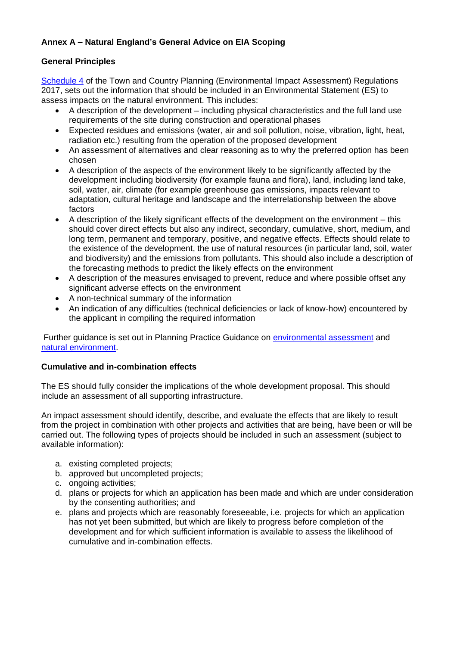# **Annex A – Natural England's General Advice on EIA Scoping**

## **General Principles**

[Schedule 4](https://www.legislation.gov.uk/uksi/2017/571/schedule/4) of the Town and Country Planning (Environmental Impact Assessment) Regulations 2017, sets out the information that should be included in an Environmental Statement (ES) to assess impacts on the natural environment. This includes:

- A description of the development including physical characteristics and the full land use requirements of the site during construction and operational phases
- Expected residues and emissions (water, air and soil pollution, noise, vibration, light, heat, radiation etc.) resulting from the operation of the proposed development
- An assessment of alternatives and clear reasoning as to why the preferred option has been chosen
- A description of the aspects of the environment likely to be significantly affected by the development including biodiversity (for example fauna and flora), land, including land take, soil, water, air, climate (for example greenhouse gas emissions, impacts relevant to adaptation, cultural heritage and landscape and the interrelationship between the above factors
- A description of the likely significant effects of the development on the environment this should cover direct effects but also any indirect, secondary, cumulative, short, medium, and long term, permanent and temporary, positive, and negative effects. Effects should relate to the existence of the development, the use of natural resources (in particular land, soil, water and biodiversity) and the emissions from pollutants. This should also include a description of the forecasting methods to predict the likely effects on the environment
- A description of the measures envisaged to prevent, reduce and where possible offset any significant adverse effects on the environment
- A non-technical summary of the information
- An indication of any difficulties (technical deficiencies or lack of know-how) encountered by the applicant in compiling the required information

Further guidance is set out in Planning Practice Guidance on [environmental assessment](https://www.gov.uk/guidance/environmental-impact-assessment) and [natural environment.](https://www.gov.uk/guidance/natural-environment)

## **Cumulative and in-combination effects**

The ES should fully consider the implications of the whole development proposal. This should include an assessment of all supporting infrastructure.

An impact assessment should identify, describe, and evaluate the effects that are likely to result from the project in combination with other projects and activities that are being, have been or will be carried out. The following types of projects should be included in such an assessment (subject to available information):

- a. existing completed projects;
- b. approved but uncompleted projects;
- c. ongoing activities;
- d. plans or projects for which an application has been made and which are under consideration by the consenting authorities; and
- e. plans and projects which are reasonably foreseeable, i.e. projects for which an application has not yet been submitted, but which are likely to progress before completion of the development and for which sufficient information is available to assess the likelihood of cumulative and in-combination effects.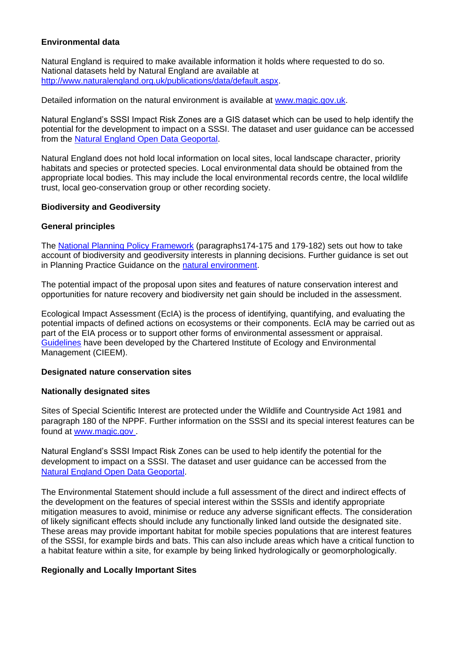## **Environmental data**

Natural England is required to make available information it holds where requested to do so. National datasets held by Natural England are available at [http://www.naturalengland.org.uk/publications/data/default.aspx.](http://www.naturalengland.org.uk/publications/data/default.aspx)

Detailed information on the natural environment is available at [www.magic.gov.uk.](http://www.magic.gov.uk/)

Natural England's SSSI Impact Risk Zones are a GIS dataset which can be used to help identify the potential for the development to impact on a SSSI. The dataset and user guidance can be accessed from the [Natural England Open Data Geoportal.](https://naturalengland-defra.opendata.arcgis.com/datasets/sssi-impact-risk-zones-england)

Natural England does not hold local information on local sites, local landscape character, priority habitats and species or protected species. Local environmental data should be obtained from the appropriate local bodies. This may include the local environmental records centre, the local wildlife trust, local geo-conservation group or other recording society.

## **Biodiversity and Geodiversity**

## **General principles**

The [National Planning Policy Framework](https://www.gov.uk/guidance/national-planning-policy-framework) (paragraphs174-175 and 179-182) sets out how to take account of biodiversity and geodiversity interests in planning decisions. Further guidance is set out in Planning Practice Guidance on the [natural environment.](https://www.gov.uk/guidance/natural-environment)

The potential impact of the proposal upon sites and features of nature conservation interest and opportunities for nature recovery and biodiversity net gain should be included in the assessment.

Ecological Impact Assessment (EcIA) is the process of identifying, quantifying, and evaluating the potential impacts of defined actions on ecosystems or their components. EcIA may be carried out as part of the EIA process or to support other forms of environmental assessment or appraisal. [Guidelines](https://cieem.net/wp-content/uploads/2018/08/ECIA-Guidelines-Sept-2019.pdf) have been developed by the Chartered Institute of Ecology and Environmental Management (CIEEM).

## **Designated nature conservation sites**

#### **Nationally designated sites**

Sites of Special Scientific Interest are protected under the Wildlife and Countryside Act 1981 and paragraph 180 of the NPPF. Further information on the SSSI and its special interest features can be found at [www.magic.gov .](http://www.magic.gov.uk/)

Natural England's SSSI Impact Risk Zones can be used to help identify the potential for the development to impact on a SSSI. The dataset and user guidance can be accessed from the [Natural England Open Data Geoportal.](https://naturalengland-defra.opendata.arcgis.com/datasets/sssi-impact-risk-zones-england)

The Environmental Statement should include a full assessment of the direct and indirect effects of the development on the features of special interest within the SSSIs and identify appropriate mitigation measures to avoid, minimise or reduce any adverse significant effects. The consideration of likely significant effects should include any functionally linked land outside the designated site. These areas may provide important habitat for mobile species populations that are interest features of the SSSI, for example birds and bats. This can also include areas which have a critical function to a habitat feature within a site, for example by being linked hydrologically or geomorphologically.

#### **Regionally and Locally Important Sites**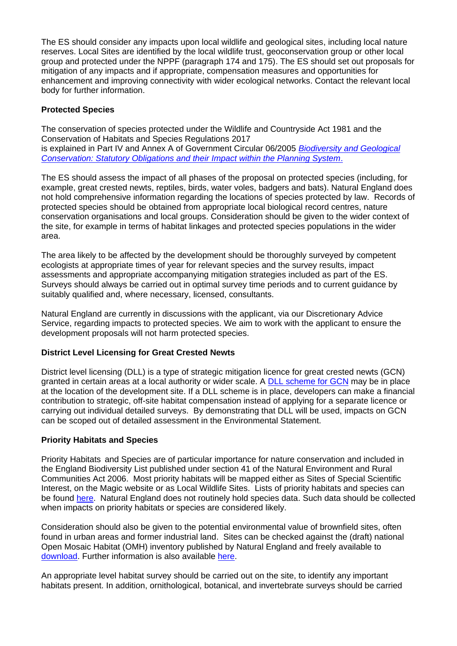The ES should consider any impacts upon local wildlife and geological sites, including local nature reserves. Local Sites are identified by the local wildlife trust, geoconservation group or other local group and protected under the NPPF (paragraph 174 and 175). The ES should set out proposals for mitigation of any impacts and if appropriate, compensation measures and opportunities for enhancement and improving connectivity with wider ecological networks. Contact the relevant local body for further information.

## **Protected Species**

The conservation of species protected under the Wildlife and Countryside Act 1981 and the Conservation of Habitats and Species Regulations 2017 is explained in Part IV and Annex A of Government Circular 06/2005 *[Biodiversity and Geological](https://www.gov.uk/government/publications/biodiversity-and-geological-conservation-circular-06-2005)  [Conservation: Statutory Obligations and their Impact within the Planning System](https://www.gov.uk/government/publications/biodiversity-and-geological-conservation-circular-06-2005)*.

The ES should assess the impact of all phases of the proposal on protected species (including, for example, great crested newts, reptiles, birds, water voles, badgers and bats). Natural England does not hold comprehensive information regarding the locations of species protected by law. Records of protected species should be obtained from appropriate local biological record centres, nature conservation organisations and local groups. Consideration should be given to the wider context of the site, for example in terms of habitat linkages and protected species populations in the wider area.

The area likely to be affected by the development should be thoroughly surveyed by competent ecologists at appropriate times of year for relevant species and the survey results, impact assessments and appropriate accompanying mitigation strategies included as part of the ES. Surveys should always be carried out in optimal survey time periods and to current guidance by suitably qualified and, where necessary, licensed, consultants.

Natural England are currently in discussions with the applicant, via our Discretionary Advice Service, regarding impacts to protected species. We aim to work with the applicant to ensure the development proposals will not harm protected species.

## **District Level Licensing for Great Crested Newts**

District level licensing (DLL) is a type of strategic mitigation licence for great crested newts (GCN) granted in certain areas at a local authority or wider scale. A [DLL scheme for GCN](https://www.gov.uk/government/publications/great-crested-newts-district-level-licensing-schemes) may be in place at the location of the development site. If a DLL scheme is in place, developers can make a financial contribution to strategic, off-site habitat compensation instead of applying for a separate licence or carrying out individual detailed surveys. By demonstrating that DLL will be used, impacts on GCN can be scoped out of detailed assessment in the Environmental Statement.

## **Priority Habitats and Species**

Priority Habitats and Species are of particular importance for nature conservation and included in the England Biodiversity List published under section 41 of the Natural Environment and Rural Communities Act 2006. Most priority habitats will be mapped either as Sites of Special Scientific Interest, on the Magic website or as Local Wildlife Sites. Lists of priority habitats and species can be found [here.](http://jncc.defra.gov.uk/page-5705) Natural England does not routinely hold species data. Such data should be collected when impacts on priority habitats or species are considered likely.

Consideration should also be given to the potential environmental value of brownfield sites, often found in urban areas and former industrial land. Sites can be checked against the (draft) national Open Mosaic Habitat (OMH) inventory published by Natural England and freely available to [download.](https://data.gov.uk/dataset/open-mosaic-habitat-draft1) Further information is also available [here.](https://www.buglife.org.uk/resources/habitat-hub/brownfield-hub/)

An appropriate level habitat survey should be carried out on the site, to identify any important habitats present. In addition, ornithological, botanical, and invertebrate surveys should be carried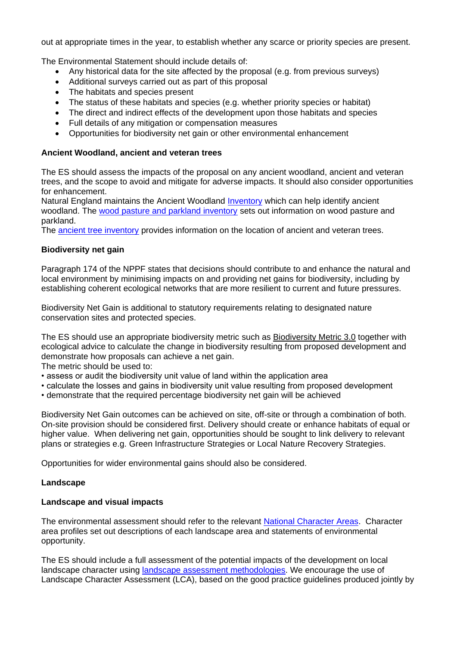out at appropriate times in the year, to establish whether any scarce or priority species are present.

The Environmental Statement should include details of:

- Any historical data for the site affected by the proposal (e.g. from previous surveys)
- Additional surveys carried out as part of this proposal
- The habitats and species present
- The status of these habitats and species (e.g. whether priority species or habitat)
- The direct and indirect effects of the development upon those habitats and species
- Full details of any mitigation or compensation measures
- Opportunities for biodiversity net gain or other environmental enhancement

## **Ancient Woodland, ancient and veteran trees**

The ES should assess the impacts of the proposal on any ancient woodland, ancient and veteran trees, and the scope to avoid and mitigate for adverse impacts. It should also consider opportunities for enhancement.

Natural England maintains the Ancient Woodland [Inventory](http://publications.naturalengland.org.uk/map?category=552039) which can help identify ancient woodland. The [wood pasture and parkland inventory](http://magic.gov.uk/MagicMap.aspx?chosenLayers=bapwoodIndex,backdropDIndex,backdropIndex,europeIndex,vmlBWIndex,25kBWIndex,50kBWIndex,250kBWIndex,miniscaleBWIndex,baseIndex&box=207763:417195:576753:592195&useDefaultbackgroundMapping=false) sets out information on wood pasture and parkland.

The [ancient tree inventory](http://www.ancient-tree-hunt.org.uk/) provides information on the location of ancient and veteran trees.

## **Biodiversity net gain**

Paragraph 174 of the NPPF states that decisions should contribute to and enhance the natural and local environment by minimising impacts on and providing net gains for biodiversity, including by establishing coherent ecological networks that are more resilient to current and future pressures.

Biodiversity Net Gain is additional to statutory requirements relating to designated nature conservation sites and protected species.

The ES should use an appropriate biodiversity metric such as [Biodiversity Metric 3.0](http://nepubprod.appspot.com/publication/6049804846366720) together with ecological advice to calculate the change in biodiversity resulting from proposed development and demonstrate how proposals can achieve a net gain.

The metric should be used to:

- assess or audit the biodiversity unit value of land within the application area
- calculate the losses and gains in biodiversity unit value resulting from proposed development
- demonstrate that the required percentage biodiversity net gain will be achieved

Biodiversity Net Gain outcomes can be achieved on site, off-site or through a combination of both. On-site provision should be considered first. Delivery should create or enhance habitats of equal or higher value. When delivering net gain, opportunities should be sought to link delivery to relevant plans or strategies e.g. Green Infrastructure Strategies or Local Nature Recovery Strategies.

Opportunities for wider environmental gains should also be considered.

## **Landscape**

## **Landscape and visual impacts**

The environmental assessment should refer to the relevant [National Character Areas.](http://www.naturalengland.org.uk/publications/nca/default.aspx) Character area profiles set out descriptions of each landscape area and statements of environmental opportunity.

The ES should include a full assessment of the potential impacts of the development on local landscape character using [landscape assessment methodologies.](https://www.gov.uk/guidance/landscape-and-seascape-character-assessments) We encourage the use of Landscape Character Assessment (LCA), based on the good practice guidelines produced jointly by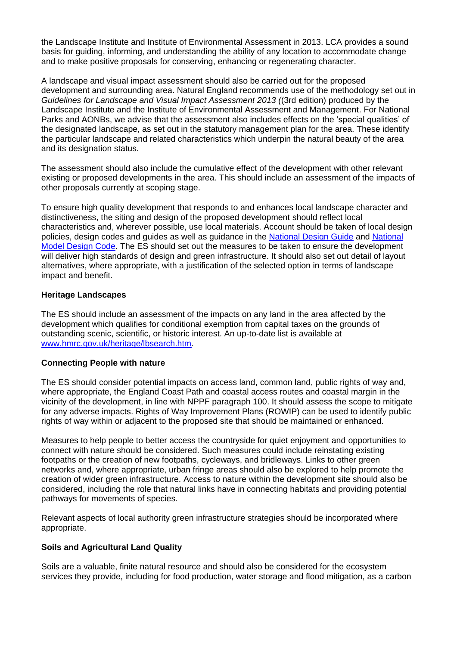the Landscape Institute and Institute of Environmental Assessment in 2013. LCA provides a sound basis for guiding, informing, and understanding the ability of any location to accommodate change and to make positive proposals for conserving, enhancing or regenerating character.

A landscape and visual impact assessment should also be carried out for the proposed development and surrounding area. Natural England recommends use of the methodology set out in *Guidelines for Landscape and Visual Impact Assessment 2013 (*(3rd edition) produced by the Landscape Institute and the Institute of Environmental Assessment and Management. For National Parks and AONBs, we advise that the assessment also includes effects on the 'special qualities' of the designated landscape, as set out in the statutory management plan for the area. These identify the particular landscape and related characteristics which underpin the natural beauty of the area and its designation status.

The assessment should also include the cumulative effect of the development with other relevant existing or proposed developments in the area. This should include an assessment of the impacts of other proposals currently at scoping stage.

To ensure high quality development that responds to and enhances local landscape character and distinctiveness, the siting and design of the proposed development should reflect local characteristics and, wherever possible, use local materials. Account should be taken of local design policies, design codes and guides as well as guidance in the [National Design Guide](https://www.gov.uk/government/publications/national-design-guide) and [National](https://www.gov.uk/government/publications/national-model-design-code)  [Model Design Code.](https://www.gov.uk/government/publications/national-model-design-code) The ES should set out the measures to be taken to ensure the development will deliver high standards of design and green infrastructure. It should also set out detail of layout alternatives, where appropriate, with a justification of the selected option in terms of landscape impact and benefit.

## **Heritage Landscapes**

The ES should include an assessment of the impacts on any land in the area affected by the development which qualifies for conditional exemption from capital taxes on the grounds of outstanding scenic, scientific, or historic interest. An up-to-date list is available at [www.hmrc.gov.uk/heritage/lbsearch.htm.](http://www.hmrc.gov.uk/heritage/lbsearch.htm)

#### **Connecting People with nature**

The ES should consider potential impacts on access land, common land, public rights of way and, where appropriate, the England Coast Path and coastal access routes and coastal margin in the vicinity of the development, in line with NPPF paragraph 100. It should assess the scope to mitigate for any adverse impacts. Rights of Way Improvement Plans (ROWIP) can be used to identify public rights of way within or adjacent to the proposed site that should be maintained or enhanced.

Measures to help people to better access the countryside for quiet enjoyment and opportunities to connect with nature should be considered. Such measures could include reinstating existing footpaths or the creation of new footpaths, cycleways, and bridleways. Links to other green networks and, where appropriate, urban fringe areas should also be explored to help promote the creation of wider green infrastructure. Access to nature within the development site should also be considered, including the role that natural links have in connecting habitats and providing potential pathways for movements of species.

Relevant aspects of local authority green infrastructure strategies should be incorporated where appropriate.

## **Soils and Agricultural Land Quality**

Soils are a valuable, finite natural resource and should also be considered for the ecosystem services they provide, including for food production, water storage and flood mitigation, as a carbon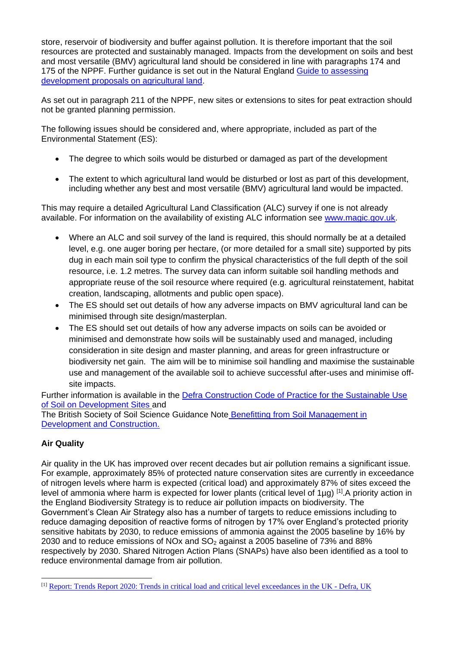store, reservoir of biodiversity and buffer against pollution. It is therefore important that the soil resources are protected and sustainably managed. Impacts from the development on soils and best and most versatile (BMV) agricultural land should be considered in line with paragraphs 174 and 175 of the NPPF. Further guidance is set out in the Natural England [Guide to assessing](https://www.gov.uk/government/publications/agricultural-land-assess-proposals-for-development/guide-to-assessing-development-proposals-on-agricultural-land#surveys-to-support-your-decision)  [development proposals on agricultural land.](https://www.gov.uk/government/publications/agricultural-land-assess-proposals-for-development/guide-to-assessing-development-proposals-on-agricultural-land#surveys-to-support-your-decision)

As set out in paragraph 211 of the NPPF, new sites or extensions to sites for peat extraction should not be granted planning permission.

The following issues should be considered and, where appropriate, included as part of the Environmental Statement (ES):

- The degree to which soils would be disturbed or damaged as part of the development
- The extent to which agricultural land would be disturbed or lost as part of this development, including whether any best and most versatile (BMV) agricultural land would be impacted.

This may require a detailed Agricultural Land Classification (ALC) survey if one is not already available. For information on the availability of existing ALC information see [www.magic.gov.uk.](http://www.magic.gov.uk/)

- Where an ALC and soil survey of the land is required, this should normally be at a detailed level, e.g. one auger boring per hectare, (or more detailed for a small site) supported by pits dug in each main soil type to confirm the physical characteristics of the full depth of the soil resource, i.e. 1.2 metres. The survey data can inform suitable soil handling methods and appropriate reuse of the soil resource where required (e.g. agricultural reinstatement, habitat creation, landscaping, allotments and public open space).
- The ES should set out details of how any adverse impacts on BMV agricultural land can be minimised through site design/masterplan.
- The ES should set out details of how any adverse impacts on soils can be avoided or minimised and demonstrate how soils will be sustainably used and managed, including consideration in site design and master planning, and areas for green infrastructure or biodiversity net gain. The aim will be to minimise soil handling and maximise the sustainable use and management of the available soil to achieve successful after-uses and minimise offsite impacts.

Further information is available in the [Defra Construction Code of Practice for the Sustainable Use](http://www.defra.gov.uk/publications/2011/03/27/construction-cop-soil-pb13298)  [of Soil on Development Sites](http://www.defra.gov.uk/publications/2011/03/27/construction-cop-soil-pb13298) and The British Society of Soil Science Guidance Note Benefitting from Soil Management in [Development and Construction.](https://soils.org.uk/wp-content/uploads/2021/03/WWS3-Benefitting-from-Soil-Management-in-Development-and-Construction.pdf)

# **Air Quality**

Air quality in the UK has improved over recent decades but air pollution remains a significant issue. For example, approximately 85% of protected nature conservation sites are currently in exceedance of nitrogen levels where harm is expected (critical load) and approximately 87% of sites exceed the level of ammonia where harm is expected for lower plants (critical level of 1µg) [1].A priority action in the England Biodiversity Strategy is to reduce air pollution impacts on biodiversity. The Government's Clean Air Strategy also has a number of targets to reduce emissions including to reduce damaging deposition of reactive forms of nitrogen by 17% over England's protected priority sensitive habitats by 2030, to reduce emissions of ammonia against the 2005 baseline by 16% by 2030 and to reduce emissions of NOx and  $SO<sub>2</sub>$  against a 2005 baseline of 73% and 88% respectively by 2030. Shared Nitrogen Action Plans (SNAPs) have also been identified as a tool to reduce environmental damage from air pollution.

<sup>[1]</sup> [Report: Trends Report 2020: Trends in critical load and critical level exceedances in the UK -](https://uk-air.defra.gov.uk/library/reports?report_id=1001) Defra, UK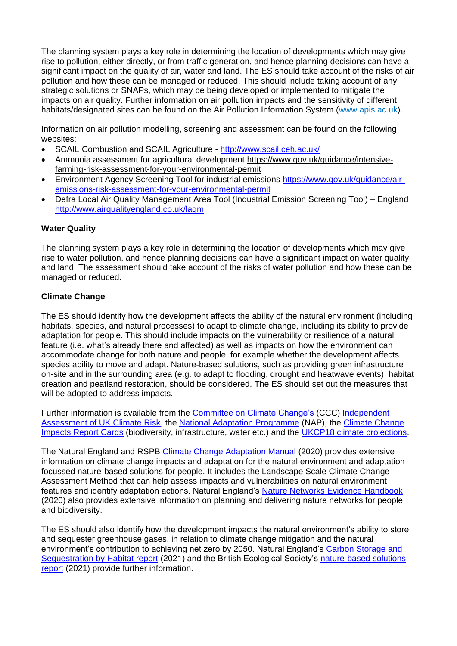The planning system plays a key role in determining the location of developments which may give rise to pollution, either directly, or from traffic generation, and hence planning decisions can have a significant impact on the quality of air, water and land. The ES should take account of the risks of air pollution and how these can be managed or reduced. This should include taking account of any strategic solutions or SNAPs, which may be being developed or implemented to mitigate the impacts on air quality. Further information on air pollution impacts and the sensitivity of different habitats/designated sites can be found on the Air Pollution Information System [\(www.apis.ac.uk\)](http://www.apis.ac.uk/).

Information on air pollution modelling, screening and assessment can be found on the following websites:

- SCAIL Combustion and SCAIL Agriculture <http://www.scail.ceh.ac.uk/>
- Ammonia assessment for agricultural development [https://www.gov.uk/guidance/intensive](https://eur03.safelinks.protection.outlook.com/?url=https%3A%2F%2Fwww.gov.uk%2Fguidance%2Fintensive-farming-risk-assessment-for-your-environmental-permit&data=04%7C01%7CJoanna.Russell%40naturalengland.org.uk%7C2121ae01d302430b3caf08d9947f7efa%7C770a245002274c6290c74e38537f1102%7C0%7C0%7C637704097572253866%7CUnknown%7CTWFpbGZsb3d8eyJWIjoiMC4wLjAwMDAiLCJQIjoiV2luMzIiLCJBTiI6Ik1haWwiLCJXVCI6Mn0%3D%7C1000&sdata=uoU4RGWL5ebnWYHPrBw0Vleurw%2ByJktOo8H%2B8M2fUfE%3D&reserved=0)[farming-risk-assessment-for-your-environmental-permit](https://eur03.safelinks.protection.outlook.com/?url=https%3A%2F%2Fwww.gov.uk%2Fguidance%2Fintensive-farming-risk-assessment-for-your-environmental-permit&data=04%7C01%7CJoanna.Russell%40naturalengland.org.uk%7C2121ae01d302430b3caf08d9947f7efa%7C770a245002274c6290c74e38537f1102%7C0%7C0%7C637704097572253866%7CUnknown%7CTWFpbGZsb3d8eyJWIjoiMC4wLjAwMDAiLCJQIjoiV2luMzIiLCJBTiI6Ik1haWwiLCJXVCI6Mn0%3D%7C1000&sdata=uoU4RGWL5ebnWYHPrBw0Vleurw%2ByJktOo8H%2B8M2fUfE%3D&reserved=0)
- Environment Agency Screening Tool for industrial emissions [https://www.gov.uk/guidance/air](https://www.gov.uk/guidance/air-emissions-risk-assessment-for-your-environmental-permit)[emissions-risk-assessment-for-your-environmental-permit](https://www.gov.uk/guidance/air-emissions-risk-assessment-for-your-environmental-permit)
- Defra Local Air Quality Management Area Tool (Industrial Emission Screening Tool) England <http://www.airqualityengland.co.uk/laqm>

## **Water Quality**

The planning system plays a key role in determining the location of developments which may give rise to water pollution, and hence planning decisions can have a significant impact on water quality, and land. The assessment should take account of the risks of water pollution and how these can be managed or reduced.

## **Climate Change**

The ES should identify how the development affects the ability of the natural environment (including habitats, species, and natural processes) to adapt to climate change, including its ability to provide adaptation for people. This should include impacts on the vulnerability or resilience of a natural feature (i.e. what's already there and affected) as well as impacts on how the environment can accommodate change for both nature and people, for example whether the development affects species ability to move and adapt. Nature-based solutions, such as providing green infrastructure on-site and in the surrounding area (e.g. to adapt to flooding, drought and heatwave events), habitat creation and peatland restoration, should be considered. The ES should set out the measures that will be adopted to address impacts.

Further information is available from the [Committee on Climate Change's](https://www.theccc.org.uk/) (CCC) Independent [Assessment of UK Climate Risk,](https://www.theccc.org.uk/publication/independent-assessment-of-uk-climate-risk/) the [National Adaptation Programme](https://www.gov.uk/government/publications/climate-change-second-national-adaptation-programme-2018-to-2023) (NAP), the Climate Change [Impacts Report Cards](https://nerc.ukri.org/research/partnerships/ride/lwec/report-cards/biodiversity/) (biodiversity, infrastructure, water etc.) and the [UKCP18 climate projections.](https://ukclimateprojections-ui.metoffice.gov.uk/ui/home)

The Natural England and RSPB [Climate Change Adaptation Manual](http://publications.naturalengland.org.uk/publication/5679197848862720) (2020) provides extensive information on climate change impacts and adaptation for the natural environment and adaptation focussed nature-based solutions for people. It includes the Landscape Scale Climate Change Assessment Method that can help assess impacts and vulnerabilities on natural environment features and identify adaptation actions. Natural England's Nature Networks [Evidence Handbook](http://publications.naturalengland.org.uk/publication/6105140258144256) (2020) also provides extensive information on planning and delivering nature networks for people and biodiversity.

The ES should also identify how the development impacts the natural environment's ability to store and sequester greenhouse gases, in relation to climate change mitigation and the natural environment's contribution to achieving net zero by 2050. Natural England's [Carbon Storage and](http://publications.naturalengland.org.uk/publication/5419124441481216)  [Sequestration by Habitat report](http://publications.naturalengland.org.uk/publication/5419124441481216) (2021) and the British Ecological Society's nature-based solutions [report](https://www.britishecologicalsociety.org/policy/nature-based-solutions/read-the-report/) (2021) provide further information.